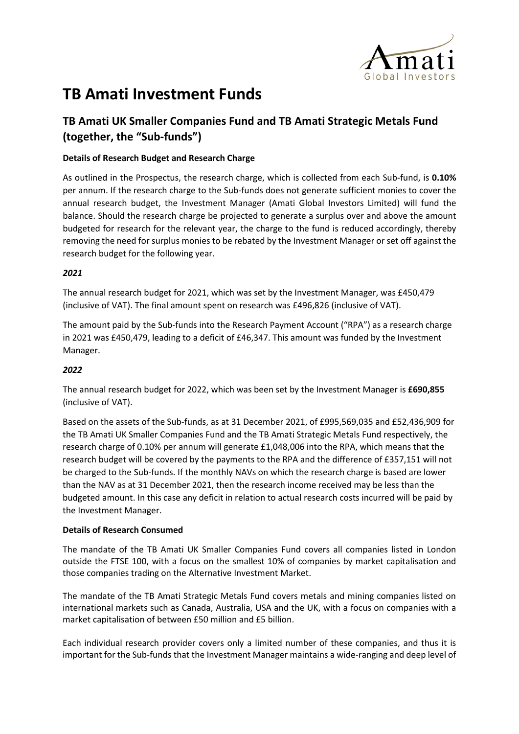

# **TB Amati Investment Funds**

# **TB Amati UK Smaller Companies Fund and TB Amati Strategic Metals Fund (together, the "Sub-funds")**

# **Details of Research Budget and Research Charge**

As outlined in the Prospectus, the research charge, which is collected from each Sub-fund, is **0.10%** per annum. If the research charge to the Sub-funds does not generate sufficient monies to cover the annual research budget, the Investment Manager (Amati Global Investors Limited) will fund the balance. Should the research charge be projected to generate a surplus over and above the amount budgeted for research for the relevant year, the charge to the fund is reduced accordingly, thereby removing the need for surplus monies to be rebated by the Investment Manager or set off against the research budget for the following year.

## *2021*

The annual research budget for 2021, which was set by the Investment Manager, was £450,479 (inclusive of VAT). The final amount spent on research was £496,826 (inclusive of VAT).

The amount paid by the Sub-funds into the Research Payment Account ("RPA") as a research charge in 2021 was £450,479, leading to a deficit of £46,347. This amount was funded by the Investment Manager.

### *2022*

The annual research budget for 2022, which was been set by the Investment Manager is **£690,855** (inclusive of VAT).

Based on the assets of the Sub-funds, as at 31 December 2021, of £995,569,035 and £52,436,909 for the TB Amati UK Smaller Companies Fund and the TB Amati Strategic Metals Fund respectively, the research charge of 0.10% per annum will generate £1,048,006 into the RPA, which means that the research budget will be covered by the payments to the RPA and the difference of £357,151 will not be charged to the Sub-funds. If the monthly NAVs on which the research charge is based are lower than the NAV as at 31 December 2021, then the research income received may be less than the budgeted amount. In this case any deficit in relation to actual research costs incurred will be paid by the Investment Manager.

### **Details of Research Consumed**

The mandate of the TB Amati UK Smaller Companies Fund covers all companies listed in London outside the FTSE 100, with a focus on the smallest 10% of companies by market capitalisation and those companies trading on the Alternative Investment Market.

The mandate of the TB Amati Strategic Metals Fund covers metals and mining companies listed on international markets such as Canada, Australia, USA and the UK, with a focus on companies with a market capitalisation of between £50 million and £5 billion.

Each individual research provider covers only a limited number of these companies, and thus it is important for the Sub-funds that the Investment Manager maintains a wide-ranging and deep level of